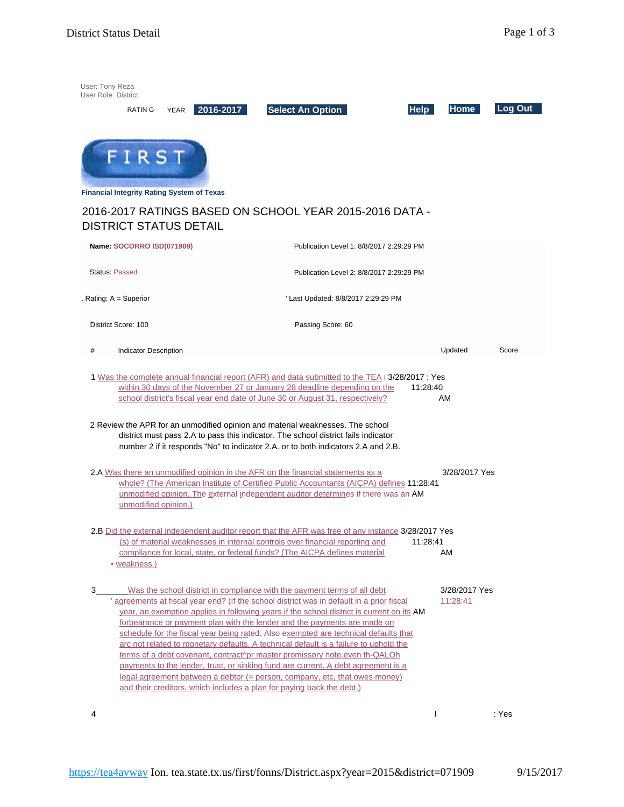| User: Tony Reza<br><b>User Role: District</b> | <b>RATING</b>                                     | 2016-2017<br><b>YEAR</b> | <b>Select An Option</b>                                                                                                                                                                                                                                                                                                                                                                                                                                                                                                                                                                                                                                                                                                                                                                                                                                   | <b>Help</b> | <b>Home</b>               | Log Out |
|-----------------------------------------------|---------------------------------------------------|--------------------------|-----------------------------------------------------------------------------------------------------------------------------------------------------------------------------------------------------------------------------------------------------------------------------------------------------------------------------------------------------------------------------------------------------------------------------------------------------------------------------------------------------------------------------------------------------------------------------------------------------------------------------------------------------------------------------------------------------------------------------------------------------------------------------------------------------------------------------------------------------------|-------------|---------------------------|---------|
|                                               | FIRST                                             |                          |                                                                                                                                                                                                                                                                                                                                                                                                                                                                                                                                                                                                                                                                                                                                                                                                                                                           |             |                           |         |
|                                               | <b>Financial Integrity Rating System of Texas</b> |                          |                                                                                                                                                                                                                                                                                                                                                                                                                                                                                                                                                                                                                                                                                                                                                                                                                                                           |             |                           |         |
|                                               | <b>DISTRICT STATUS DETAIL</b>                     |                          | 2016-2017 RATINGS BASED ON SCHOOL YEAR 2015-2016 DATA -                                                                                                                                                                                                                                                                                                                                                                                                                                                                                                                                                                                                                                                                                                                                                                                                   |             |                           |         |
|                                               | Name: SOCORRO ISD(071909)                         |                          | Publication Level 1: 8/8/2017 2:29:29 PM                                                                                                                                                                                                                                                                                                                                                                                                                                                                                                                                                                                                                                                                                                                                                                                                                  |             |                           |         |
| <b>Status: Passed</b>                         |                                                   |                          | Publication Level 2: 8/8/2017 2:29:29 PM                                                                                                                                                                                                                                                                                                                                                                                                                                                                                                                                                                                                                                                                                                                                                                                                                  |             |                           |         |
|                                               | Rating: A = Superior                              |                          | ' Last Updated: 8/8/2017 2:29:29 PM                                                                                                                                                                                                                                                                                                                                                                                                                                                                                                                                                                                                                                                                                                                                                                                                                       |             |                           |         |
|                                               | District Score: 100                               |                          | Passing Score: 60                                                                                                                                                                                                                                                                                                                                                                                                                                                                                                                                                                                                                                                                                                                                                                                                                                         |             |                           |         |
| #                                             | <b>Indicator Description</b>                      |                          |                                                                                                                                                                                                                                                                                                                                                                                                                                                                                                                                                                                                                                                                                                                                                                                                                                                           |             | Updated                   | Score   |
|                                               |                                                   |                          | 1 Was the complete annual financial report (AFR) and data submitted to the TEA i 3/28/2017 : Yes<br>within 30 days of the November 27 or January 28 deadline depending on the<br>school district's fiscal year end date of June 30 or August 31, respectively?<br>2 Review the APR for an unmodified opinion and material weaknesses. The school<br>district must pass 2.A to pass this indicator. The school district fails indicator                                                                                                                                                                                                                                                                                                                                                                                                                    | 11:28:40    | AM                        |         |
|                                               | unmodified opinion.)                              |                          | number 2 if it responds "No" to indicator 2.A. or to both indicators 2.A and 2.B.<br>2.A Was there an unmodified opinion in the AFR on the financial statements as a<br>whole? (The American Institute of Certified Public Accountants (AICPA) defines 11:28:41<br>unmodified opinion. The external independent auditor determines if there was an AM                                                                                                                                                                                                                                                                                                                                                                                                                                                                                                     |             | 3/28/2017 Yes             |         |
|                                               | • weakness.)                                      |                          | 2.B Did the external independent auditor report that the AFR was free of any instance 3/28/2017 Yes<br>(s) of material weaknesses in internal controls over financial reporting and<br>compliance for local, state, or federal funds? (The AICPA defines material                                                                                                                                                                                                                                                                                                                                                                                                                                                                                                                                                                                         | 11:28:41    | AM                        |         |
| $3_{-}$                                       |                                                   |                          | Was the school district in compliance with the payment terms of all debt<br>' agreements at fiscal year end? (If the school district was in default in a prior fiscal<br>year, an exemption applies in following years if the school district is current on its AM<br>forbearance or payment plan with the lender and the payments are made on<br>schedule for the fiscal year being rated. Also exempted are technical defaults that<br>arc not related to monetary defaults. A technical default is a failure to uphold the<br>terms of a debt covenant, contract^pr master promissory note.even th-QALOh<br>payments to the lender, trust, or sinking fund are current. A debt agreement is a<br>legal agreement between a debtor $(=$ person, company, etc. that owes money)<br>and their creditors, which includes a plan for paying back the debt.) |             | 3/28/2017 Yes<br>11:28:41 |         |
| 4                                             |                                                   |                          |                                                                                                                                                                                                                                                                                                                                                                                                                                                                                                                                                                                                                                                                                                                                                                                                                                                           |             | $\mathbf{I}$              | : Yes   |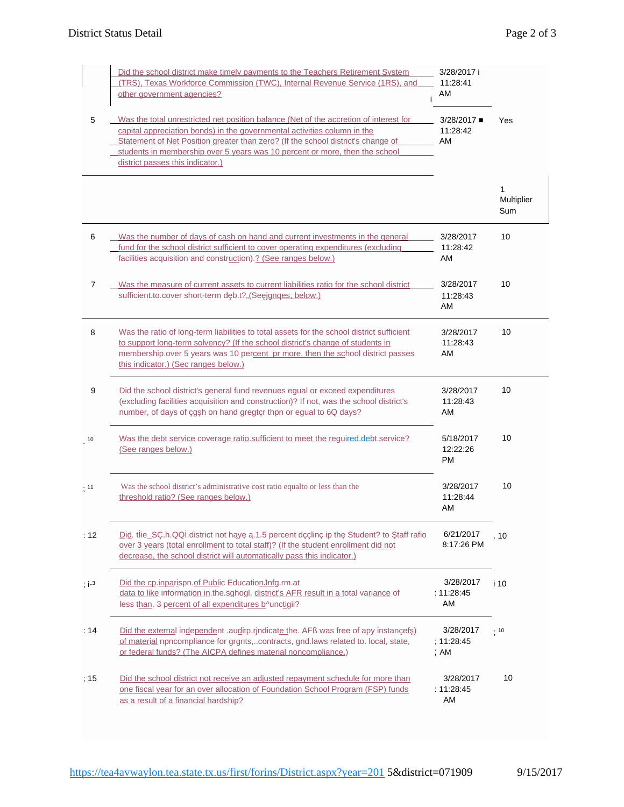|            | Did the school district make timely payments to the Teachers Retirement System<br>(TRS), Texas Workforce Commission (TWC), Internal Revenue Service (1RS), and<br>other government agencies?                                                                                                                                                                             | 3/28/2017 i<br>11:28:41<br>AM      |                        |
|------------|--------------------------------------------------------------------------------------------------------------------------------------------------------------------------------------------------------------------------------------------------------------------------------------------------------------------------------------------------------------------------|------------------------------------|------------------------|
| 5          | Was the total unrestricted net position balance (Net of the accretion of interest for<br>capital appreciation bonds) in the governmental activities column in the<br>Statement of Net Position greater than zero? (If the school district's change of<br>students in membership over 5 years was 10 percent or more, then the school<br>district passes this indicator.) | 3/28/2017<br>11:28:42<br>AM        | Yes                    |
|            |                                                                                                                                                                                                                                                                                                                                                                          |                                    | 1<br>Multiplier<br>Sum |
| 6          | Was the number of days of cash on hand and current investments in the general<br>fund for the school district sufficient to cover operating expenditures (excluding<br>facilities acquisition and construction).? (See ranges below.)                                                                                                                                    | 3/28/2017<br>11:28:42<br>AM        | 10                     |
| 7          | Was the measure of current assets to current liabilities ratio for the school district<br>sufficient.to.cover short-term d b.t?"(Se janges, below.)                                                                                                                                                                                                                      | 3/28/2017<br>11:28:43<br>AM        | 10                     |
| 8          | Was the ratio of long-term liabilities to total assets for the school district sufficient<br>to support long-term solvency? (If the school district's change of students in<br>membership.over 5 years was 10 percent pr more, then the school district passes<br>this indicator.) (Sec ranges below.)                                                                   | 3/28/2017<br>11:28:43<br>AM        | 10                     |
| 9          | Did the school district's general fund revenues egual or exceed expenditures<br>(excluding facilities acquisition and construction)? If not, was the school district's<br>number, of days of çg h on hand gregtçr thpn or egual to 6Q days?                                                                                                                              | 3/28/2017<br>11:28:43<br>AM        | 10                     |
| 10         | Was the debt service coverage ratio sufficient to meet the required debt service?<br>(See ranges below.)                                                                                                                                                                                                                                                                 | 5/18/2017<br>12:22:26<br><b>PM</b> | 10                     |
| : 11       | Was the school district's administrative cost ratio equalto or less than the<br>threshold ratio? (See ranges below.)                                                                                                                                                                                                                                                     | 3/28/2017<br>11:28:44<br>AM        | 10                     |
| : 12       | Did. t ie_SC.h.QQ .district not h y .1.5 percent dcclinc ip th Student? to taff rafio<br>over 3 years (total enrollment to total staff)? (If the student enrollment did not<br>decrease, the school district will automatically pass this indicator.)                                                                                                                    | 6/21/2017<br>8:17:26 PM            | . 10                   |
| $; i^{-3}$ | Did the cp.inparispn.of Public EducationJnfg.rm.at<br>data to like information in the sghogl. district's AFR result in a total variance of<br>less than. 3 percent of all expenditures b^unctigii?                                                                                                                                                                       | 3/28/2017<br>: 11.28.45<br>AM      | i 10                   |
| : 14       | Did the external independent .auditp.rjndicate the. AFB was free of apy instancef)<br>of material npncompliance for grgnts,contracts, gnd.laws related to. local, state,<br>or federal funds? (The AICP defines material noncompliance.)                                                                                                                                 | 3/28/2017<br>; 11:28:45<br>; AM    | .10                    |
| ; 15       | Did the school district not receive an adjusted repayment schedule for more than<br>one fiscal year for an over allocation of Foundation School Program (FSP) funds<br>as a result of a financial hardship?                                                                                                                                                              | 3/28/2017<br>: 11:28:45<br>AM      | 10                     |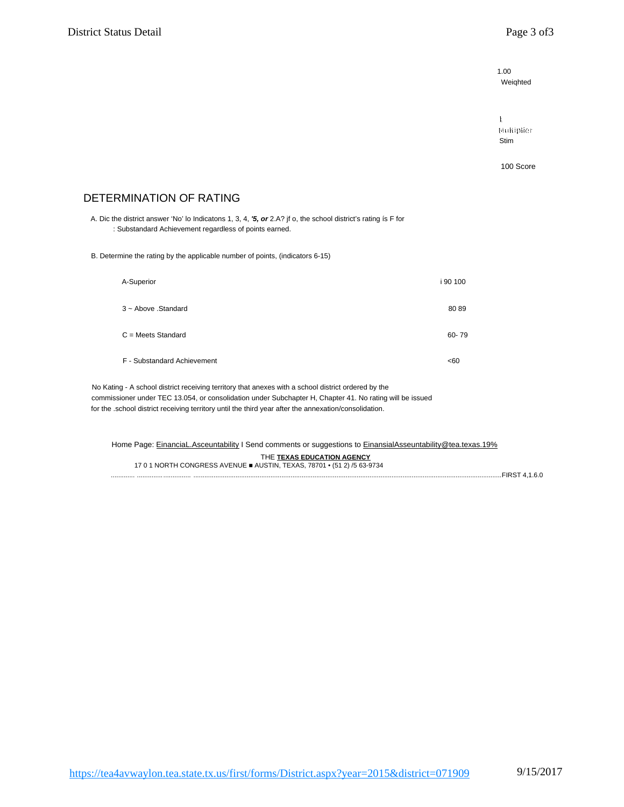$1.00$ Weighted

 $\mathbf{L}$ Multiplier Stim

100 Score

## DETERMINATION OF RATING

A. Dic the district answer 'No' lo Indicatons 1, 3, 4, '5, or 2.A? jf o, the school district's rating is F for : Substandard Achievement regardless of points earned.

B. Determine the rating by the applicable number of points, (indicators 6-15)

| A-Superior                  | i 90 100 |
|-----------------------------|----------|
| 3 ~ Above .Standard         | 8089     |
| $C = Meets$ Standard        | 60-79    |
| F - Substandard Achievement | <60      |

No Kating - A school district receiving territory that anexes with a school district ordered by the commissioner under TEC 13.054, or consolidation under Subchapter H, Chapter 41. No rating will be issued for the .school district receiving territory until the third year after the annexation/consolidation.

Home Page: EinanciaL.Asceuntability I Send comments or suggestions to EinansialAsseuntability@tea.texas.19% THE TEXAS EDUCATION AGENCY 17 0 1 NORTH CONGRESS AVENUE AUSTIN, TEXAS, 78701 • (51 2) /5 63-9734 

https://tea4avwaylon.tea.state.tx.us/first/forms/District.aspx?year=2015&district=071909 9/15/2017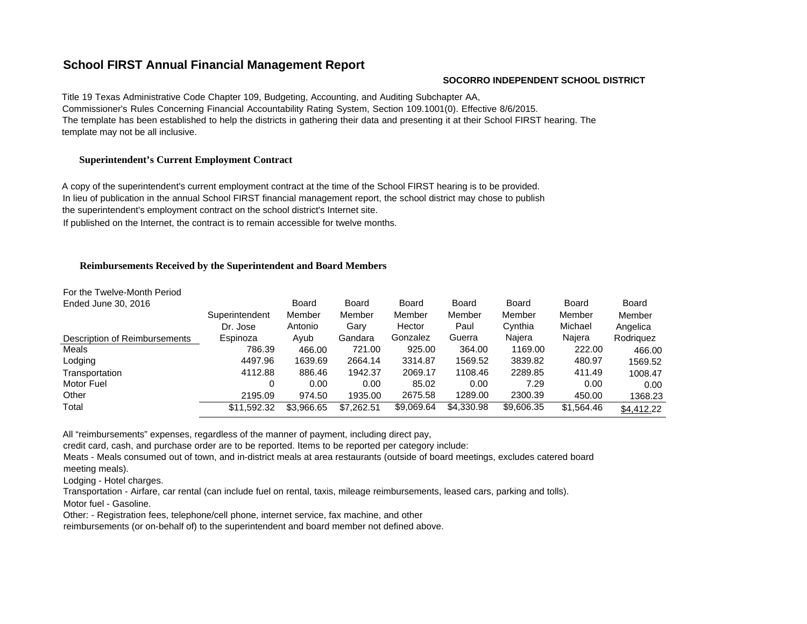# **School FIRST Annual Financial Management Report**

#### **SOCORRO INDEPENDENT SCHOOL DISTRICT**

Title 19 Texas Administrative Code Chapter 109, Budgeting, Accounting, and Auditing Subchapter AA, Commissioner's Rules Concerning Financial Accountability Rating System, Section 109.1001(0). Effective 8/6/2015. The template has been established to help the districts in gathering their data and presenting it at their School FIRST hearing. The template may not be all inclusive.

### **Superintendent's Current Employment Contract**

A copy of the superintendent's current employment contract at the time of the School FIRST hearing is to be provided. In lieu of publication in the annual School FIRST financial management report, the school district may chose to publish the superintendent's employment contract on the school district's Internet site.

If published on the Internet, the contract is to remain accessible for twelve months.

#### **Reimbursements Received by the Superintendent and Board Members**

| For the Twelve-Month Period   |                |            |            |            |            |            |            |            |
|-------------------------------|----------------|------------|------------|------------|------------|------------|------------|------------|
| Ended June 30, 2016           |                | Board      | Board      | Board      | Board      | Board      | Board      | Board      |
|                               | Superintendent | Member     | Member     | Member     | Member     | Member     | Member     | Member     |
|                               | Dr. Jose       | Antonio    | Gary       | Hector     | Paul       | Cynthia    | Michael    | Angelica   |
| Description of Reimbursements | Espinoza       | Ayub       | Gandara    | Gonzalez   | Guerra     | Najera     | Najera     | Rodriguez  |
| Meals                         | 786.39         | 466.00     | 721.00     | 925.00     | 364.00     | 1169.00    | 222.00     | 466.00     |
| Lodging                       | 4497.96        | 1639.69    | 2664.14    | 3314.87    | 1569.52    | 3839.82    | 480.97     | 1569.52    |
| Transportation                | 4112.88        | 886.46     | 1942.37    | 2069.17    | 1108.46    | 2289.85    | 411.49     | 1008.47    |
| Motor Fuel                    |                | 0.00       | 0.00       | 85.02      | 0.00       | 7.29       | 0.00       | 0.00       |
| Other                         | 2195.09        | 974.50     | 1935.00    | 2675.58    | 1289.00    | 2300.39    | 450.00     | 1368.23    |
| Total                         | \$11,592.32    | \$3,966.65 | \$7,262.51 | \$9,069.64 | \$4,330.98 | \$9,606.35 | \$1,564.46 | \$4,412.22 |

All "reimbursements" expenses, regardless of the manner of payment, including direct pay,

credit card, cash, and purchase order are to be reported. Items to be reported per category include:

Meats - Meals consumed out of town, and in-district meals at area restaurants (outside of board meetings, excludes catered board

meeting meals).

Lodging - Hotel charges.

Transportation - Airfare, car rental (can include fuel on rental, taxis, mileage reimbursements, leased cars, parking and tolls).

Motor fuel - Gasoline.

Other: - Registration fees, telephone/cell phone, internet service, fax machine, and other

reimbursements (or on-behalf of) to the superintendent and board member not defined above.